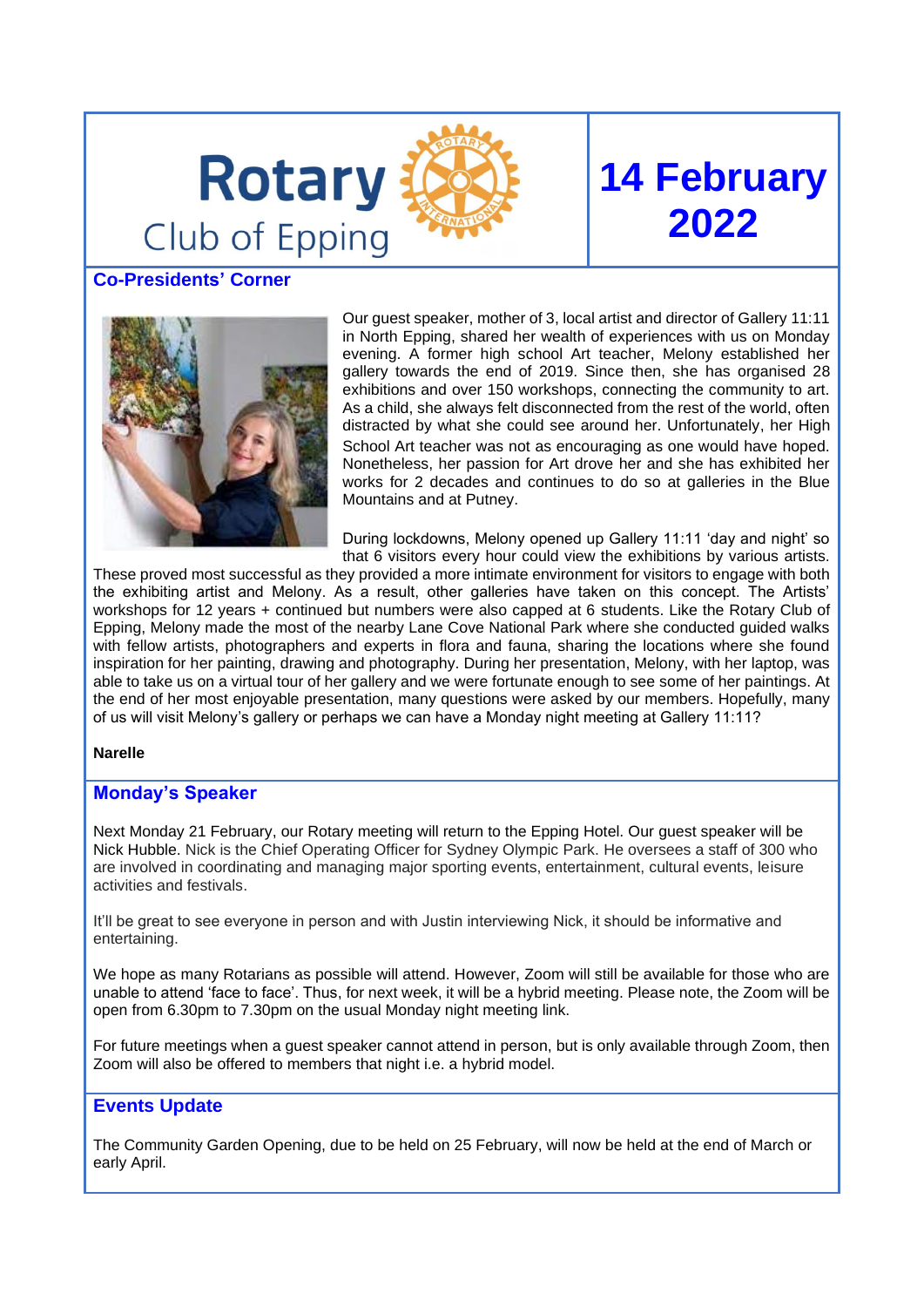

# **14 February 2022**

# **Co-Presidents' Corner**



Our guest speaker, mother of 3, local artist and director of Gallery 11:11 in North Epping, shared her wealth of experiences with us on Monday evening. A former high school Art teacher, Melony established her gallery towards the end of 2019. Since then, she has organised 28 exhibitions and over 150 workshops, connecting the community to art. As a child, she always felt disconnected from the rest of the world, often distracted by what she could see around her. Unfortunately, her High School Art teacher was not as encouraging as one would have hoped. Nonetheless, her passion for Art drove her and she has exhibited her works for 2 decades and continues to do so at galleries in the Blue Mountains and at Putney.

During lockdowns, Melony opened up Gallery 11:11 'day and night' so that 6 visitors every hour could view the exhibitions by various artists.

These proved most successful as they provided a more intimate environment for visitors to engage with both the exhibiting artist and Melony. As a result, other galleries have taken on this concept. The Artists' workshops for 12 years + continued but numbers were also capped at 6 students. Like the Rotary Club of Epping, Melony made the most of the nearby Lane Cove National Park where she conducted guided walks with fellow artists, photographers and experts in flora and fauna, sharing the locations where she found inspiration for her painting, drawing and photography. During her presentation, Melony, with her laptop, was able to take us on a virtual tour of her gallery and we were fortunate enough to see some of her paintings. At the end of her most enjoyable presentation, many questions were asked by our members. Hopefully, many of us will visit Melony's gallery or perhaps we can have a Monday night meeting at Gallery 11:11?

#### **Narelle**

 $\overline{\phantom{0}}$ 

#### **Monday's Speaker**

Next Monday 21 February, our Rotary meeting will return to the Epping Hotel. Our guest speaker will be Nick Hubble. Nick is the Chief Operating Officer for Sydney Olympic Park. He oversees a staff of 300 who are involved in coordinating and managing major sporting events, entertainment, cultural events, leisure activities and festivals.

It'll be great to see everyone in person and with Justin interviewing Nick, it should be informative and entertaining.

We hope as many Rotarians as possible will attend. However, Zoom will still be available for those who are unable to attend 'face to face'. Thus, for next week, it will be a hybrid meeting. Please note, the Zoom will be open from 6.30pm to 7.30pm on the usual Monday night meeting link.

For future meetings when a guest speaker cannot attend in person, but is only available through Zoom, then Zoom will also be offered to members that night i.e. a hybrid model.

## **Events Update**

The Community Garden Opening, due to be held on 25 February, will now be held at the end of March or early April.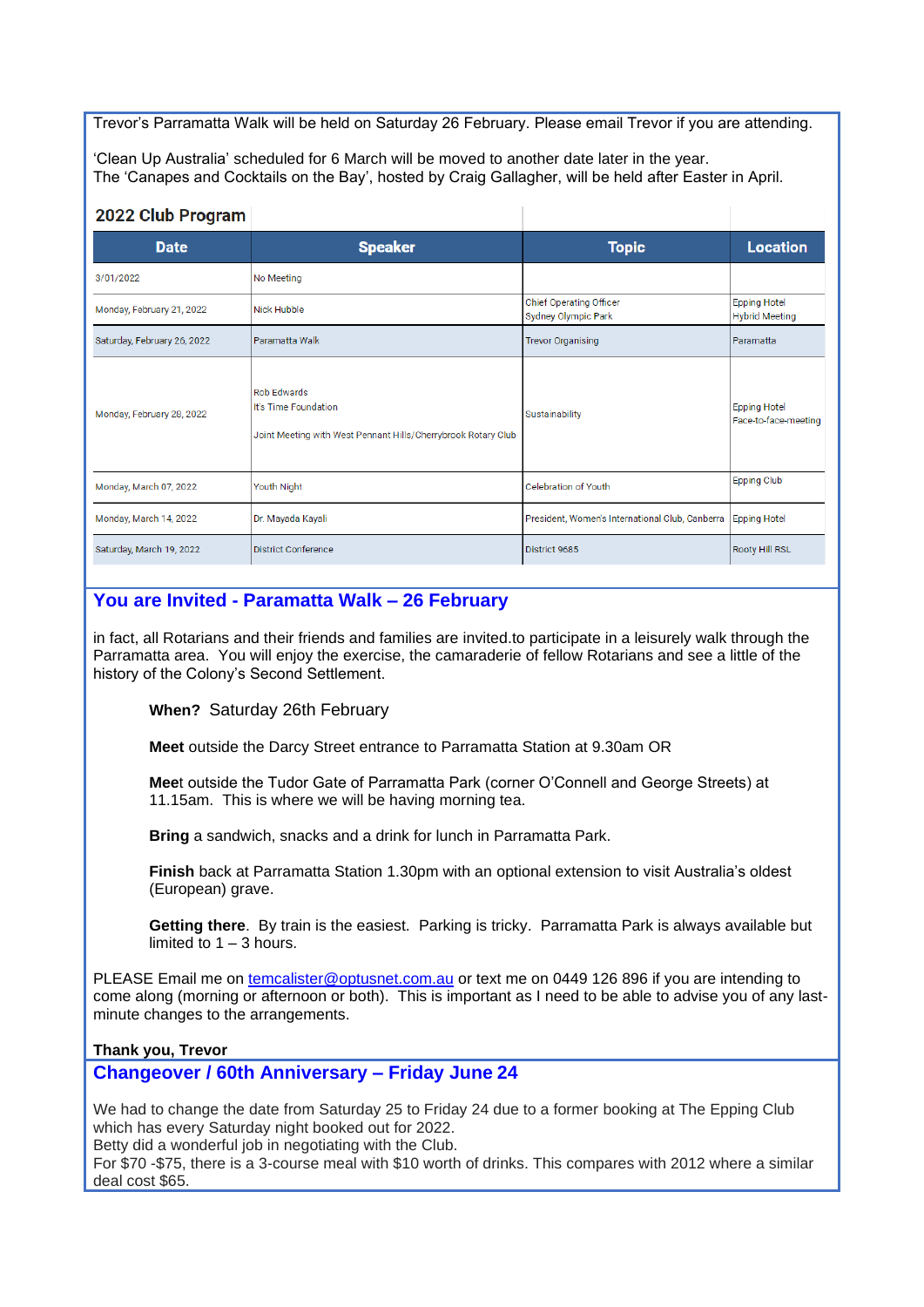Trevor's Parramatta Walk will be held on Saturday 26 February. Please email Trevor if you are attending.

'Clean Up Australia' scheduled for 6 March will be moved to another date later in the year. The 'Canapes and Cocktails on the Bay', hosted by Craig Gallagher, will be held after Easter in April.

### 2022 Club Program

| $-9 - 9 - 9 - 1 - 9 - 1$    |                                                                                                             |                                                       |                                              |
|-----------------------------|-------------------------------------------------------------------------------------------------------------|-------------------------------------------------------|----------------------------------------------|
| <b>Date</b>                 | <b>Speaker</b>                                                                                              | <b>Topic</b>                                          | <b>Location</b>                              |
| 3/01/2022                   | No Meeting                                                                                                  |                                                       |                                              |
| Monday, February 21, 2022   | Nick Hubble                                                                                                 | <b>Chief Operating Officer</b><br>Sydney Olympic Park | <b>Epping Hotel</b><br><b>Hybrid Meeting</b> |
| Saturday, February 26, 2022 | Paramatta Walk                                                                                              | <b>Trevor Organising</b>                              | Paramatta                                    |
| Monday, February 28, 2022   | <b>Rob Edwards</b><br>It's Time Foundation<br>Joint Meeting with West Pennant Hills/Cherrybrook Rotary Club | Sustainability                                        | <b>Epping Hotel</b><br>Face-to-face-meeting  |
| Monday, March 07, 2022      | Youth Night                                                                                                 | Celebration of Youth                                  | <b>Epping Club</b>                           |
| Monday, March 14, 2022      | Dr. Mayada Kayali                                                                                           | President, Women's International Club, Canberra       | <b>Epping Hotel</b>                          |
| Saturday, March 19, 2022    | <b>District Conference</b>                                                                                  | District 9685                                         | <b>Rooty Hill RSL</b>                        |

# **You are Invited - Paramatta Walk – 26 February**

in fact, all Rotarians and their friends and families are invited.to participate in a leisurely walk through the Parramatta area. You will enjoy the exercise, the camaraderie of fellow Rotarians and see a little of the history of the Colony's Second Settlement.

**When?** Saturday 26th February

**Meet** outside the Darcy Street entrance to Parramatta Station at 9.30am OR

**Mee**t outside the Tudor Gate of Parramatta Park (corner O'Connell and George Streets) at 11.15am. This is where we will be having morning tea.

**Bring** a sandwich, snacks and a drink for lunch in Parramatta Park.

**Finish** back at Parramatta Station 1.30pm with an optional extension to visit Australia's oldest (European) grave.

**Getting there**. By train is the easiest. Parking is tricky. Parramatta Park is always available but limited to  $1 - 3$  hours.

PLEASE Email me on [temcalister@optusnet.com.au](mailto:temcalister@optusnet.com.au) or text me on 0449 126 896 if you are intending to come along (morning or afternoon or both). This is important as I need to be able to advise you of any lastminute changes to the arrangements.

#### **Thank you, Trevor**

## **Changeover / 60th Anniversary – Friday June 24**

We had to change the date from Saturday 25 to Friday 24 due to a former booking at The Epping Club which has every Saturday night booked out for 2022.

Betty did a wonderful job in negotiating with the Club.

For \$70 -\$75, there is a 3-course meal with \$10 worth of drinks. This compares with 2012 where a similar deal cost \$65.